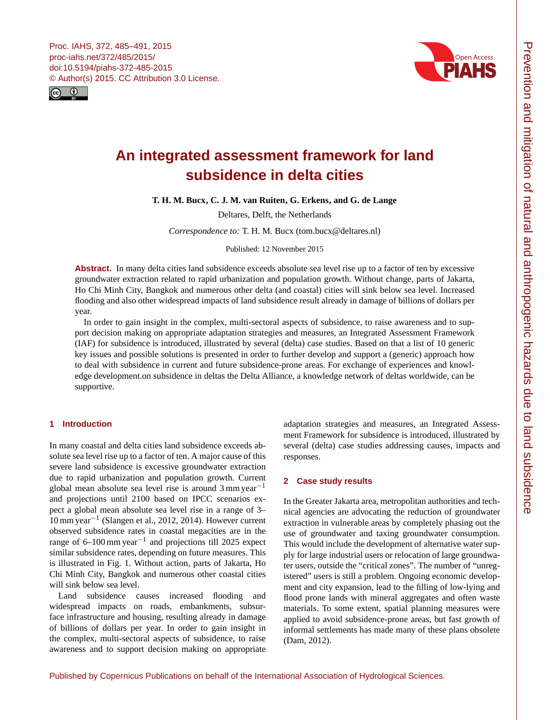<span id="page-0-0"></span>Proc. IAHS, 372, 485–491, 2015 proc-iahs.net/372/485/2015/ doi:10.5194/piahs-372-485-2015 © Author(s) 2015. CC Attribution 3.0 License.





# **An integrated assessment framework for land subsidence in delta cities**

**T. H. M. Bucx, C. J. M. van Ruiten, G. Erkens, and G. de Lange**

Deltares, Delft, the Netherlands

*Correspondence to:* T. H. M. Bucx (tom.bucx@deltares.nl)

Published: 12 November 2015

Abstract. In many delta cities land subsidence exceeds absolute sea level rise up to a factor of ten by excessive groundwater extraction related to rapid urbanization and population growth. Without change, parts of Jakarta, Ho Chi Minh City, Bangkok and numerous other delta (and coastal) cities will sink below sea level. Increased flooding and also other widespread impacts of land subsidence result already in damage of billions of dollars per year.

In order to gain insight in the complex, multi-sectoral aspects of subsidence, to raise awareness and to support decision making on appropriate adaptation strategies and measures, an Integrated Assessment Framework (IAF) for subsidence is introduced, illustrated by several (delta) case studies. Based on that a list of 10 generic key issues and possible solutions is presented in order to further develop and support a (generic) approach how to deal with subsidence in current and future subsidence-prone areas. For exchange of experiences and knowledge development.on subsidence in deltas the Delta Alliance, a knowledge network of deltas worldwide, can be supportive.

# **1 Introduction**

In many coastal and delta cities land subsidence exceeds absolute sea level rise up to a factor of ten. A major cause of this severe land subsidence is excessive groundwater extraction due to rapid urbanization and population growth. Current global mean absolute sea level rise is around 3 mm year−<sup>1</sup> and projections until 2100 based on IPCC scenarios expect a global mean absolute sea level rise in a range of 3– 10 mm year−<sup>1</sup> (Slangen et al., 2012, 2014). However current observed subsidence rates in coastal megacities are in the range of 6–100 mm year−<sup>1</sup> and projections till 2025 expect similar subsidence rates, depending on future measures. This is illustrated in Fig. 1. Without action, parts of Jakarta, Ho Chi Minh City, Bangkok and numerous other coastal cities will sink below sea level.

Land subsidence causes increased flooding and widespread impacts on roads, embankments, subsurface infrastructure and housing, resulting already in damage of billions of dollars per year. In order to gain insight in the complex, multi-sectoral aspects of subsidence, to raise awareness and to support decision making on appropriate

adaptation strategies and measures, an Integrated Assessment Framework for subsidence is introduced, illustrated by several (delta) case studies addressing causes, impacts and responses.

## **2 Case study results**

In the Greater Jakarta area, metropolitan authorities and technical agencies are advocating the reduction of groundwater extraction in vulnerable areas by completely phasing out the use of groundwater and taxing groundwater consumption. This would include the development of alternative water supply for large industrial users or relocation of large groundwater users, outside the "critical zones". The number of "unregistered" users is still a problem. Ongoing economic development and city expansion, lead to the filling of low-lying and flood prone lands with mineral aggregates and often waste materials. To some extent, spatial planning measures were applied to avoid subsidence-prone areas, but fast growth of informal settlements has made many of these plans obsolete (Dam, 2012).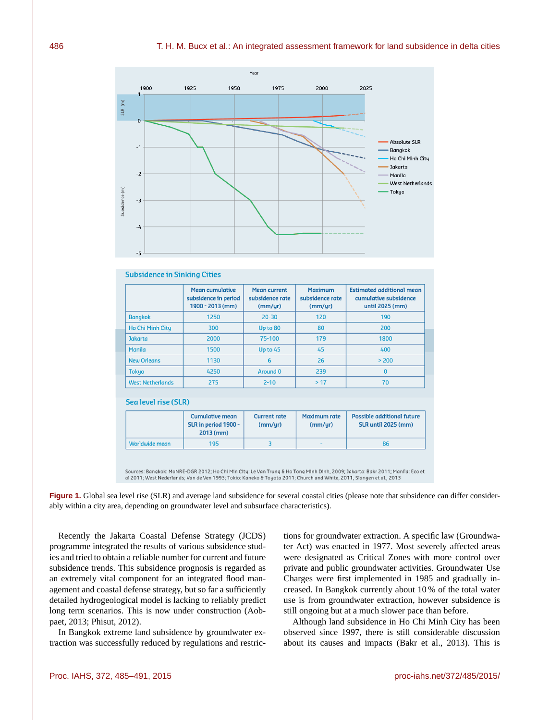

#### **Subsidence in Sinking Cities**

|                         | <b>Mean cumulative</b><br>subsidence in period<br>1900 - 2013 (mm) | <b>Mean current</b><br>subsidence rate<br>(mm/yr) | <b>Maximum</b><br>subsidence rate<br>(mm/yr) | <b>Estimated additional mean</b><br>cumulative subsidence<br>until 2025 (mm) |
|-------------------------|--------------------------------------------------------------------|---------------------------------------------------|----------------------------------------------|------------------------------------------------------------------------------|
| <b>Bangkok</b>          | 1250                                                               | $20 - 30$                                         | 120                                          | 190                                                                          |
| Ho Chi Minh City        | 300                                                                | Up to 80                                          | 80                                           | 200                                                                          |
| <b>Jakarta</b>          | 2000                                                               | 75-100                                            | 179                                          | 1800                                                                         |
| Manila                  | 1500                                                               | Up to 45                                          | 45                                           | 400                                                                          |
| <b>New Orleans</b>      | 1130                                                               | 6                                                 | 26                                           | > 200                                                                        |
| <b>Tokyo</b>            | 4250                                                               | Around 0                                          | 239                                          | 0                                                                            |
| <b>West Netherlands</b> | 275                                                                | $2 - 10$                                          | >17                                          | 70                                                                           |

#### Sea level rise (SLR)

|                | <b>Cumulative mean</b><br>SLR in period 1900 -<br>$2013$ (mm) | <b>Current rate</b><br>(mm/yr) | <b>Maximum rate</b><br>(mm/yr) | <b>Possible additional future</b><br><b>SLR until 2025 (mm)</b> |
|----------------|---------------------------------------------------------------|--------------------------------|--------------------------------|-----------------------------------------------------------------|
| Worldwide mean | 195                                                           |                                | -                              | 86                                                              |

Sources: Bangkok: MoNRE-DGR 2012; Ho Chi Min City: Le Van Trung & Ho Tong Minh Dinh, 2009; Jakarta: Bakr 2011; Manila: Eco et al 2011; West Nederlands; Van de Ven 1993; Tokio: Kaneko & Toyota 2011; Church and White, 2011, Slangen et al., 2013

**Figure 1.** Global sea level rise (SLR) and average land subsidence for several coastal cities (please note that subsidence can differ considerably within a city area, depending on groundwater level and subsurface characteristics).

Recently the Jakarta Coastal Defense Strategy (JCDS) programme integrated the results of various subsidence studies and tried to obtain a reliable number for current and future subsidence trends. This subsidence prognosis is regarded as an extremely vital component for an integrated flood management and coastal defense strategy, but so far a sufficiently detailed hydrogeological model is lacking to reliably predict long term scenarios. This is now under construction (Aobpaet, 2013; Phisut, 2012).

In Bangkok extreme land subsidence by groundwater extraction was successfully reduced by regulations and restrictions for groundwater extraction. A specific law (Groundwater Act) was enacted in 1977. Most severely affected areas were designated as Critical Zones with more control over private and public groundwater activities. Groundwater Use Charges were first implemented in 1985 and gradually increased. In Bangkok currently about 10 % of the total water use is from groundwater extraction, however subsidence is still ongoing but at a much slower pace than before.

Although land subsidence in Ho Chi Minh City has been observed since 1997, there is still considerable discussion about its causes and impacts (Bakr et al., 2013). This is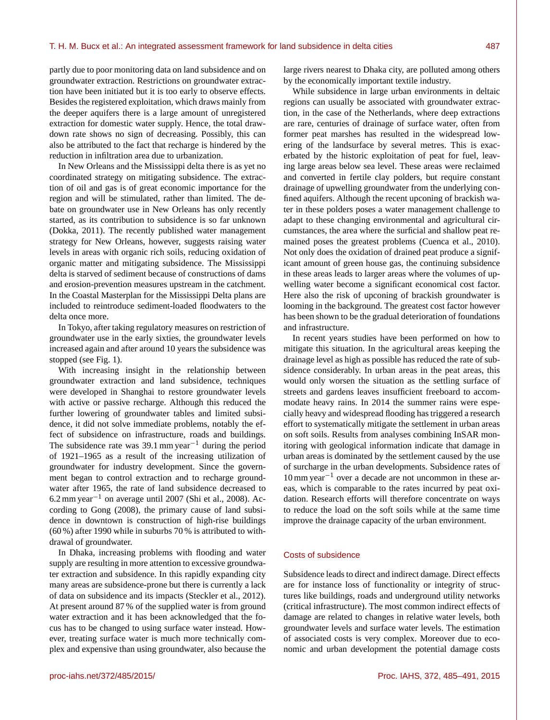partly due to poor monitoring data on land subsidence and on groundwater extraction. Restrictions on groundwater extraction have been initiated but it is too early to observe effects. Besides the registered exploitation, which draws mainly from the deeper aquifers there is a large amount of unregistered extraction for domestic water supply. Hence, the total drawdown rate shows no sign of decreasing. Possibly, this can also be attributed to the fact that recharge is hindered by the reduction in infiltration area due to urbanization.

In New Orleans and the Mississippi delta there is as yet no coordinated strategy on mitigating subsidence. The extraction of oil and gas is of great economic importance for the region and will be stimulated, rather than limited. The debate on groundwater use in New Orleans has only recently started, as its contribution to subsidence is so far unknown (Dokka, 2011). The recently published water management strategy for New Orleans, however, suggests raising water levels in areas with organic rich soils, reducing oxidation of organic matter and mitigating subsidence. The Mississippi delta is starved of sediment because of constructions of dams and erosion-prevention measures upstream in the catchment. In the Coastal Masterplan for the Mississippi Delta plans are included to reintroduce sediment-loaded floodwaters to the delta once more.

In Tokyo, after taking regulatory measures on restriction of groundwater use in the early sixties, the groundwater levels increased again and after around 10 years the subsidence was stopped (see Fig. 1).

With increasing insight in the relationship between groundwater extraction and land subsidence, techniques were developed in Shanghai to restore groundwater levels with active or passive recharge. Although this reduced the further lowering of groundwater tables and limited subsidence, it did not solve immediate problems, notably the effect of subsidence on infrastructure, roads and buildings. The subsidence rate was 39.1 mm year<sup>-1</sup> during the period of 1921–1965 as a result of the increasing utilization of groundwater for industry development. Since the government began to control extraction and to recharge groundwater after 1965, the rate of land subsidence decreased to 6.2 mm year−<sup>1</sup> on average until 2007 (Shi et al., 2008). According to Gong (2008), the primary cause of land subsidence in downtown is construction of high-rise buildings (60 %) after 1990 while in suburbs 70 % is attributed to withdrawal of groundwater.

In Dhaka, increasing problems with flooding and water supply are resulting in more attention to excessive groundwater extraction and subsidence. In this rapidly expanding city many areas are subsidence-prone but there is currently a lack of data on subsidence and its impacts (Steckler et al., 2012). At present around 87 % of the supplied water is from ground water extraction and it has been acknowledged that the focus has to be changed to using surface water instead. However, treating surface water is much more technically complex and expensive than using groundwater, also because the

large rivers nearest to Dhaka city, are polluted among others by the economically important textile industry.

While subsidence in large urban environments in deltaic regions can usually be associated with groundwater extraction, in the case of the Netherlands, where deep extractions are rare, centuries of drainage of surface water, often from former peat marshes has resulted in the widespread lowering of the landsurface by several metres. This is exacerbated by the historic exploitation of peat for fuel, leaving large areas below sea level. These areas were reclaimed and converted in fertile clay polders, but require constant drainage of upwelling groundwater from the underlying confined aquifers. Although the recent upconing of brackish water in these polders poses a water management challenge to adapt to these changing environmental and agricultural circumstances, the area where the surficial and shallow peat remained poses the greatest problems (Cuenca et al., 2010). Not only does the oxidation of drained peat produce a significant amount of green house gas, the continuing subsidence in these areas leads to larger areas where the volumes of upwelling water become a significant economical cost factor. Here also the risk of upconing of brackish groundwater is looming in the background. The greatest cost factor however has been shown to be the gradual deterioration of foundations and infrastructure.

In recent years studies have been performed on how to mitigate this situation. In the agricultural areas keeping the drainage level as high as possible has reduced the rate of subsidence considerably. In urban areas in the peat areas, this would only worsen the situation as the settling surface of streets and gardens leaves insufficient freeboard to accommodate heavy rains. In 2014 the summer rains were especially heavy and widespread flooding has triggered a research effort to systematically mitigate the settlement in urban areas on soft soils. Results from analyses combining InSAR monitoring with geological information indicate that damage in urban areas is dominated by the settlement caused by the use of surcharge in the urban developments. Subsidence rates of 10 mm year−<sup>1</sup> over a decade are not uncommon in these areas, which is comparable to the rates incurred by peat oxidation. Research efforts will therefore concentrate on ways to reduce the load on the soft soils while at the same time improve the drainage capacity of the urban environment.

## Costs of subsidence

Subsidence leads to direct and indirect damage. Direct effects are for instance loss of functionality or integrity of structures like buildings, roads and underground utility networks (critical infrastructure). The most common indirect effects of damage are related to changes in relative water levels, both groundwater levels and surface water levels. The estimation of associated costs is very complex. Moreover due to economic and urban development the potential damage costs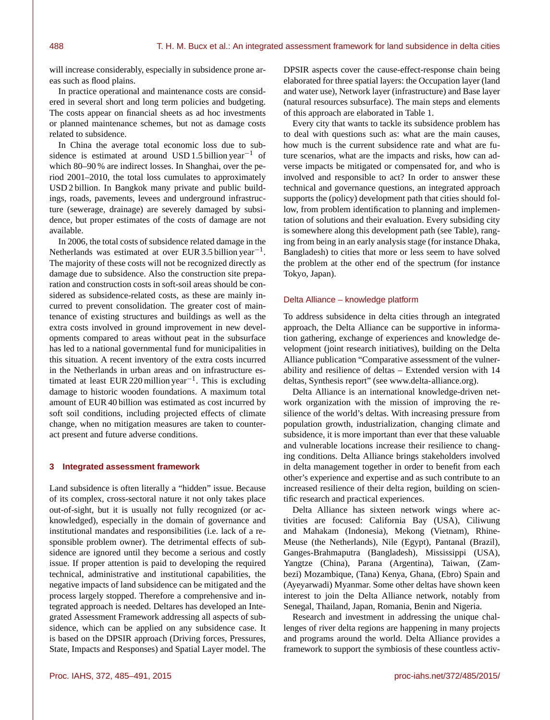will increase considerably, especially in subsidence prone areas such as flood plains.

In practice operational and maintenance costs are considered in several short and long term policies and budgeting. The costs appear on financial sheets as ad hoc investments or planned maintenance schemes, but not as damage costs related to subsidence.

In China the average total economic loss due to subsidence is estimated at around USD 1.5 billion year<sup>-1</sup> of which 80–90 % are indirect losses. In Shanghai, over the period 2001–2010, the total loss cumulates to approximately USD 2 billion. In Bangkok many private and public buildings, roads, pavements, levees and underground infrastructure (sewerage, drainage) are severely damaged by subsidence, but proper estimates of the costs of damage are not available.

In 2006, the total costs of subsidence related damage in the Netherlands was estimated at over EUR 3.5 billion year<sup>-1</sup>. The majority of these costs will not be recognized directly as damage due to subsidence. Also the construction site preparation and construction costs in soft-soil areas should be considered as subsidence-related costs, as these are mainly incurred to prevent consolidation. The greater cost of maintenance of existing structures and buildings as well as the extra costs involved in ground improvement in new developments compared to areas without peat in the subsurface has led to a national governmental fund for municipalities in this situation. A recent inventory of the extra costs incurred in the Netherlands in urban areas and on infrastructure estimated at least EUR 220 million year<sup>-1</sup>. This is excluding damage to historic wooden foundations. A maximum total amount of EUR 40 billion was estimated as cost incurred by soft soil conditions, including projected effects of climate change, when no mitigation measures are taken to counteract present and future adverse conditions.

## **3 Integrated assessment framework**

Land subsidence is often literally a "hidden" issue. Because of its complex, cross-sectoral nature it not only takes place out-of-sight, but it is usually not fully recognized (or acknowledged), especially in the domain of governance and institutional mandates and responsibilities (i.e. lack of a responsible problem owner). The detrimental effects of subsidence are ignored until they become a serious and costly issue. If proper attention is paid to developing the required technical, administrative and institutional capabilities, the negative impacts of land subsidence can be mitigated and the process largely stopped. Therefore a comprehensive and integrated approach is needed. Deltares has developed an Integrated Assessment Framework addressing all aspects of subsidence, which can be applied on any subsidence case. It is based on the DPSIR approach (Driving forces, Pressures, State, Impacts and Responses) and Spatial Layer model. The

DPSIR aspects cover the cause-effect-response chain being elaborated for three spatial layers: the Occupation layer (land and water use), Network layer (infrastructure) and Base layer (natural resources subsurface). The main steps and elements of this approach are elaborated in Table 1.

Every city that wants to tackle its subsidence problem has to deal with questions such as: what are the main causes, how much is the current subsidence rate and what are future scenarios, what are the impacts and risks, how can adverse impacts be mitigated or compensated for, and who is involved and responsible to act? In order to answer these technical and governance questions, an integrated approach supports the (policy) development path that cities should follow, from problem identification to planning and implementation of solutions and their evaluation. Every subsiding city is somewhere along this development path (see Table), ranging from being in an early analysis stage (for instance Dhaka, Bangladesh) to cities that more or less seem to have solved the problem at the other end of the spectrum (for instance Tokyo, Japan).

#### Delta Alliance – knowledge platform

To address subsidence in delta cities through an integrated approach, the Delta Alliance can be supportive in information gathering, exchange of experiences and knowledge development (joint research initiatives), building on the Delta Alliance publication "Comparative assessment of the vulnerability and resilience of deltas – Extended version with 14 deltas, Synthesis report" (see [www.delta-alliance.org\)](www.delta-alliance.org).

Delta Alliance is an international knowledge-driven network organization with the mission of improving the resilience of the world's deltas. With increasing pressure from population growth, industrialization, changing climate and subsidence, it is more important than ever that these valuable and vulnerable locations increase their resilience to changing conditions. Delta Alliance brings stakeholders involved in delta management together in order to benefit from each other's experience and expertise and as such contribute to an increased resilience of their delta region, building on scientific research and practical experiences.

Delta Alliance has sixteen network wings where activities are focused: California Bay (USA), Ciliwung and Mahakam (Indonesia), Mekong (Vietnam), Rhine-Meuse (the Netherlands), Nile (Egypt), Pantanal (Brazil), Ganges-Brahmaputra (Bangladesh), Mississippi (USA), Yangtze (China), Parana (Argentina), Taiwan, (Zambezi) Mozambique, (Tana) Kenya, Ghana, (Ebro) Spain and (Ayeyarwadi) Myanmar. Some other deltas have shown keen interest to join the Delta Alliance network, notably from Senegal, Thailand, Japan, Romania, Benin and Nigeria.

Research and investment in addressing the unique challenges of river delta regions are happening in many projects and programs around the world. Delta Alliance provides a framework to support the symbiosis of these countless activ-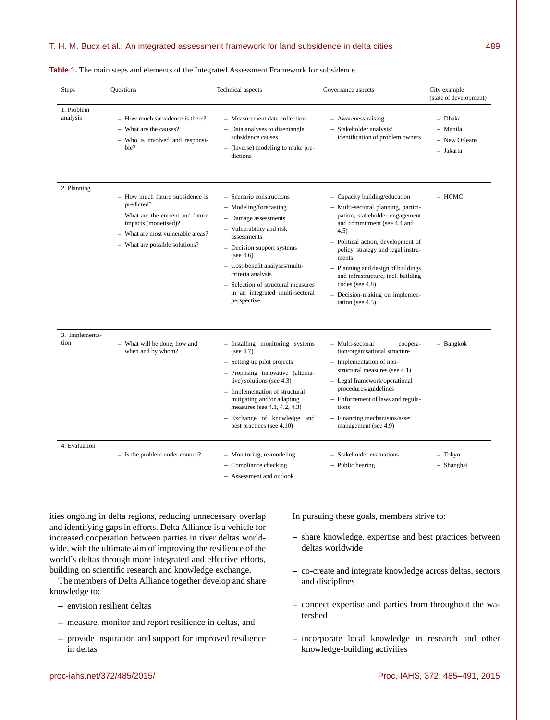|  |  | <b>Table 1.</b> The main steps and elements of the Integrated Assessment Framework for subsidence. |  |  |  |  |  |  |
|--|--|----------------------------------------------------------------------------------------------------|--|--|--|--|--|--|
|--|--|----------------------------------------------------------------------------------------------------|--|--|--|--|--|--|

| <b>Steps</b>           | <b>Questions</b>                                                                                                                                                                  | Technical aspects                                                                                                                                                                                                                                                                                               | Governance aspects                                                                                                                                                                                                                                                                                                                                                                            | City example<br>(state of development)            |
|------------------------|-----------------------------------------------------------------------------------------------------------------------------------------------------------------------------------|-----------------------------------------------------------------------------------------------------------------------------------------------------------------------------------------------------------------------------------------------------------------------------------------------------------------|-----------------------------------------------------------------------------------------------------------------------------------------------------------------------------------------------------------------------------------------------------------------------------------------------------------------------------------------------------------------------------------------------|---------------------------------------------------|
| 1. Problem<br>analysis | - How much subsidence is there?<br>- What are the causes?<br>- Who is involved and responsi-<br>ble?                                                                              | - Measurement data collection<br>- Data analyses to disentangle<br>subsidence causes<br>- (Inverse) modeling to make pre-<br>dictions                                                                                                                                                                           | - Awareness raising<br>- Stakeholder analysis/<br>identification of problem owners                                                                                                                                                                                                                                                                                                            | - Dhaka<br>- Manila<br>- New Orleans<br>- Jakarta |
| 2. Planning            | - How much future subsidence is<br>predicted?<br>- What are the current and future<br>impacts (monetised)?<br>- What are most vulnerable areas?<br>- What are possible solutions? | - Scenario constructions<br>- Modeling/forecasting<br>- Damage assessments<br>- Vulnerability and risk<br>assessments<br>- Decision support systems<br>(see 4.6)<br>- Cost-benefit analyses/multi-<br>criteria analysis<br>- Selection of structural measures<br>in an integrated multi-sectoral<br>perspective | - Capacity building/education<br>- Multi-sectoral planning, partici-<br>pation, stakeholder engagement<br>and commitment (see 4.4 and<br>4.5)<br>- Political action, development of<br>policy, strategy and legal instru-<br>ments<br>- Planning and design of buildings<br>and infrastructure, incl. building<br>codes (see $4.8$ )<br>- Decision-making on implemen-<br>tation (see $4.5$ ) | - HCMC                                            |
| 3. Implementa-<br>tion | - What will be done, how and<br>when and by whom?                                                                                                                                 | - Installing monitoring systems<br>(see 4.7)<br>- Setting up pilot projects<br>- Proposing innovative (alterna-<br>tive) solutions (see 4.3)<br>- Implementation of structural<br>mitigating and/or adapting<br>measures (see 4.1, 4.2, 4.3)<br>- Exchange of knowledge and<br>best practices (see 4.10)        | - Multi-sectoral<br>coopera-<br>tion/organisational structure<br>- Implementation of non-<br>structural measures (see 4.1)<br>- Legal framework/operational<br>procedures/guidelines<br>- Enforcement of laws and regula-<br>tions<br>- Financing mechanisms/asset<br>management (see 4.9)                                                                                                    | - Bangkok                                         |
| 4. Evaluation          | - Is the problem under control?                                                                                                                                                   | - Monitoring, re-modeling<br>- Compliance checking<br>- Assessment and outlook                                                                                                                                                                                                                                  | - Stakeholder evaluations<br>- Public hearing                                                                                                                                                                                                                                                                                                                                                 | - Tokyo<br>- Shanghai                             |

ities ongoing in delta regions, reducing unnecessary overlap and identifying gaps in efforts. Delta Alliance is a vehicle for increased cooperation between parties in river deltas worldwide, with the ultimate aim of improving the resilience of the world's deltas through more integrated and effective efforts, building on scientific research and knowledge exchange.

The members of Delta Alliance together develop and share knowledge to:

- **–** envision resilient deltas
- **–** measure, monitor and report resilience in deltas, and
- **–** provide inspiration and support for improved resilience in deltas

In pursuing these goals, members strive to:

- **–** share knowledge, expertise and best practices between deltas worldwide
- **–** co-create and integrate knowledge across deltas, sectors and disciplines
- **–** connect expertise and parties from throughout the watershed
- **–** incorporate local knowledge in research and other knowledge-building activities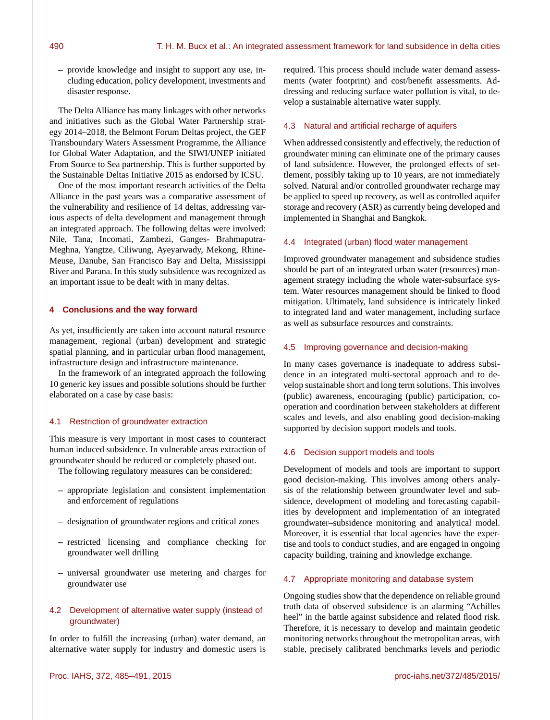**–** provide knowledge and insight to support any use, including education, policy development, investments and disaster response.

The Delta Alliance has many linkages with other networks and initiatives such as the Global Water Partnership strategy 2014–2018, the Belmont Forum Deltas project, the GEF Transboundary Waters Assessment Programme, the Alliance for Global Water Adaptation, and the SIWI/UNEP initiated From Source to Sea partnership. This is further supported by the Sustainable Deltas Initiative 2015 as endorsed by ICSU.

One of the most important research activities of the Delta Alliance in the past years was a comparative assessment of the vulnerability and resilience of 14 deltas, addressing various aspects of delta development and management through an integrated approach. The following deltas were involved: Nile, Tana, Incomati, Zambezi, Ganges- Brahmaputra-Meghna, Yangtze, Ciliwung, Ayeyarwady, Mekong, Rhine-Meuse, Danube, San Francisco Bay and Delta, Mississippi River and Parana. In this study subsidence was recognized as an important issue to be dealt with in many deltas.

#### **4 Conclusions and the way forward**

As yet, insufficiently are taken into account natural resource management, regional (urban) development and strategic spatial planning, and in particular urban flood management, infrastructure design and infrastructure maintenance.

In the framework of an integrated approach the following 10 generic key issues and possible solutions should be further elaborated on a case by case basis:

#### 4.1 Restriction of groundwater extraction

This measure is very important in most cases to counteract human induced subsidence. In vulnerable areas extraction of groundwater should be reduced or completely phased out.

The following regulatory measures can be considered:

- **–** appropriate legislation and consistent implementation and enforcement of regulations
- **–** designation of groundwater regions and critical zones
- **–** restricted licensing and compliance checking for groundwater well drilling
- **–** universal groundwater use metering and charges for groundwater use

# 4.2 Development of alternative water supply (instead of groundwater)

In order to fulfill the increasing (urban) water demand, an alternative water supply for industry and domestic users is required. This process should include water demand assessments (water footprint) and cost/benefit assessments. Addressing and reducing surface water pollution is vital, to develop a sustainable alternative water supply.

#### 4.3 Natural and artificial recharge of aquifers

When addressed consistently and effectively, the reduction of groundwater mining can eliminate one of the primary causes of land subsidence. However, the prolonged effects of settlement, possibly taking up to 10 years, are not immediately solved. Natural and/or controlled groundwater recharge may be applied to speed up recovery, as well as controlled aquifer storage and recovery (ASR) as currently being developed and implemented in Shanghai and Bangkok.

### 4.4 Integrated (urban) flood water management

Improved groundwater management and subsidence studies should be part of an integrated urban water (resources) management strategy including the whole water-subsurface system. Water resources management should be linked to flood mitigation. Ultimately, land subsidence is intricately linked to integrated land and water management, including surface as well as subsurface resources and constraints.

## 4.5 Improving governance and decision-making

In many cases governance is inadequate to address subsidence in an integrated multi-sectoral approach and to develop sustainable short and long term solutions. This involves (public) awareness, encouraging (public) participation, cooperation and coordination between stakeholders at different scales and levels, and also enabling good decision-making supported by decision support models and tools.

# 4.6 Decision support models and tools

Development of models and tools are important to support good decision-making. This involves among others analysis of the relationship between groundwater level and subsidence, development of modeling and forecasting capabilities by development and implementation of an integrated groundwater–subsidence monitoring and analytical model. Moreover, it is essential that local agencies have the expertise and tools to conduct studies, and are engaged in ongoing capacity building, training and knowledge exchange.

## 4.7 Appropriate monitoring and database system

Ongoing studies show that the dependence on reliable ground truth data of observed subsidence is an alarming "Achilles heel" in the battle against subsidence and related flood risk. Therefore, it is necessary to develop and maintain geodetic monitoring networks throughout the metropolitan areas, with stable, precisely calibrated benchmarks levels and periodic